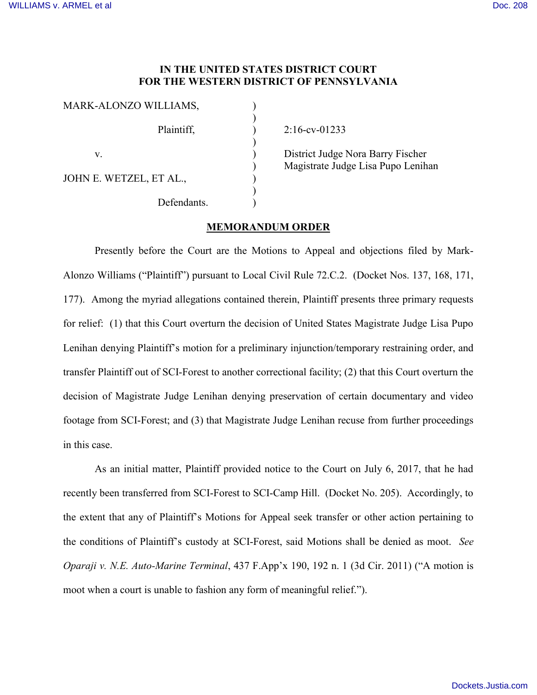## **IN THE UNITED STATES DISTRICT COURT FOR THE WESTERN DISTRICT OF PENNSYLVANIA**

| MARK-ALONZO WILLIAMS,   |             |  |
|-------------------------|-------------|--|
|                         | Plaintiff,  |  |
| V                       |             |  |
| JOHN E. WETZEL, ET AL., |             |  |
|                         | Defendants. |  |

 $2:16$ -cv-01233

District Judge Nora Barry Fischer ) Magistrate Judge Lisa Pupo Lenihan

## **MEMORANDUM ORDER**

Presently before the Court are the Motions to Appeal and objections filed by Mark-Alonzo Williams ("Plaintiff") pursuant to Local Civil Rule 72.C.2. (Docket Nos. 137, 168, 171, 177). Among the myriad allegations contained therein, Plaintiff presents three primary requests for relief: (1) that this Court overturn the decision of United States Magistrate Judge Lisa Pupo Lenihan denying Plaintiff's motion for a preliminary injunction/temporary restraining order, and transfer Plaintiff out of SCI-Forest to another correctional facility; (2) that this Court overturn the decision of Magistrate Judge Lenihan denying preservation of certain documentary and video footage from SCI-Forest; and (3) that Magistrate Judge Lenihan recuse from further proceedings in this case.

As an initial matter, Plaintiff provided notice to the Court on July 6, 2017, that he had recently been transferred from SCI-Forest to SCI-Camp Hill. (Docket No. 205). Accordingly, to the extent that any of Plaintiff's Motions for Appeal seek transfer or other action pertaining to the conditions of Plaintiff's custody at SCI-Forest, said Motions shall be denied as moot. *See Oparaji v. N.E. Auto-Marine Terminal*, 437 F.App'x 190, 192 n. 1 (3d Cir. 2011) ("A motion is moot when a court is unable to fashion any form of meaningful relief.").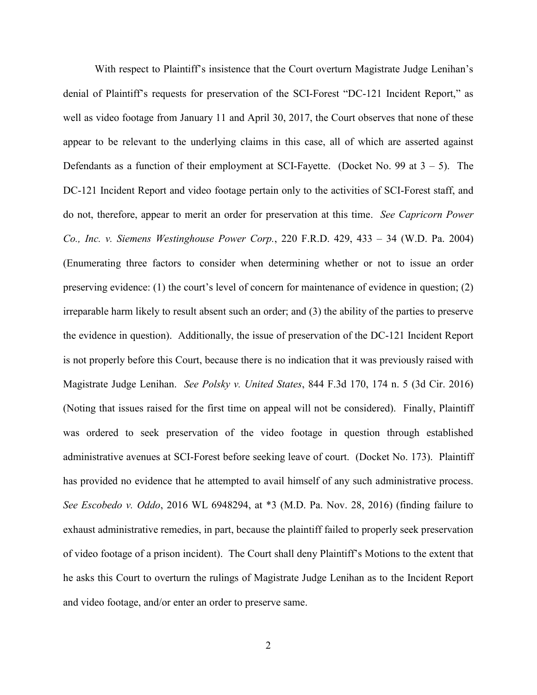With respect to Plaintiff's insistence that the Court overturn Magistrate Judge Lenihan's denial of Plaintiff's requests for preservation of the SCI-Forest "DC-121 Incident Report," as well as video footage from January 11 and April 30, 2017, the Court observes that none of these appear to be relevant to the underlying claims in this case, all of which are asserted against Defendants as a function of their employment at SCI-Fayette. (Docket No. 99 at  $3 - 5$ ). The DC-121 Incident Report and video footage pertain only to the activities of SCI-Forest staff, and do not, therefore, appear to merit an order for preservation at this time. *See Capricorn Power Co., Inc. v. Siemens Westinghouse Power Corp.*, 220 F.R.D. 429, 433 – 34 (W.D. Pa. 2004) (Enumerating three factors to consider when determining whether or not to issue an order preserving evidence: (1) the court's level of concern for maintenance of evidence in question; (2) irreparable harm likely to result absent such an order; and (3) the ability of the parties to preserve the evidence in question). Additionally, the issue of preservation of the DC-121 Incident Report is not properly before this Court, because there is no indication that it was previously raised with Magistrate Judge Lenihan. *See Polsky v. United States*, 844 F.3d 170, 174 n. 5 (3d Cir. 2016) (Noting that issues raised for the first time on appeal will not be considered). Finally, Plaintiff was ordered to seek preservation of the video footage in question through established administrative avenues at SCI-Forest before seeking leave of court. (Docket No. 173). Plaintiff has provided no evidence that he attempted to avail himself of any such administrative process. *See Escobedo v. Oddo*, 2016 WL 6948294, at \*3 (M.D. Pa. Nov. 28, 2016) (finding failure to exhaust administrative remedies, in part, because the plaintiff failed to properly seek preservation of video footage of a prison incident). The Court shall deny Plaintiff's Motions to the extent that he asks this Court to overturn the rulings of Magistrate Judge Lenihan as to the Incident Report and video footage, and/or enter an order to preserve same.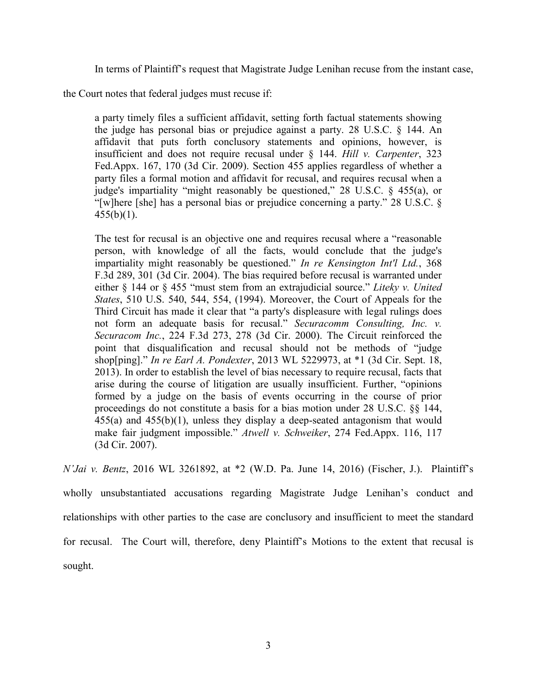In terms of Plaintiff's request that Magistrate Judge Lenihan recuse from the instant case,

the Court notes that federal judges must recuse if:

a party timely files a sufficient affidavit, setting forth factual statements showing the judge has personal bias or prejudice against a party. [28 U.S.C. § 144.](https://1.next.westlaw.com/Link/Document/FullText?findType=L&pubNum=1000546&cite=28USCAS144&originatingDoc=I0727ba1032f111e6a6699ce8baa114cf&refType=LQ&originationContext=document&transitionType=DocumentItem&contextData=(sc.UserEnteredCitation)) An affidavit that puts forth conclusory statements and opinions, however, is insufficient and does not require recusal under [§ 144.](https://1.next.westlaw.com/Link/Document/FullText?findType=L&pubNum=1000546&cite=28USCAS144&originatingDoc=I0727ba1032f111e6a6699ce8baa114cf&refType=LQ&originationContext=document&transitionType=DocumentItem&contextData=(sc.UserEnteredCitation)) *[Hill v. Carpenter](https://1.next.westlaw.com/Link/Document/FullText?findType=Y&serNum=2018654307&pubNum=0006538&originatingDoc=I0727ba1032f111e6a6699ce8baa114cf&refType=RP&fi=co_pp_sp_6538_170&originationContext=document&transitionType=DocumentItem&contextData=(sc.UserEnteredCitation)#co_pp_sp_6538_170)*, 323 [Fed.Appx. 167, 170 \(3d Cir. 2009\).](https://1.next.westlaw.com/Link/Document/FullText?findType=Y&serNum=2018654307&pubNum=0006538&originatingDoc=I0727ba1032f111e6a6699ce8baa114cf&refType=RP&fi=co_pp_sp_6538_170&originationContext=document&transitionType=DocumentItem&contextData=(sc.UserEnteredCitation)#co_pp_sp_6538_170) [Section 455](https://1.next.westlaw.com/Link/Document/FullText?findType=L&pubNum=1000546&cite=28USCAS455&originatingDoc=I0727ba1032f111e6a6699ce8baa114cf&refType=LQ&originationContext=document&transitionType=DocumentItem&contextData=(sc.UserEnteredCitation)) applies regardless of whether a party files a formal motion and affidavit for recusal, and requires recusal when a judge's impartiality "might reasonably be questioned," [28 U.S.C. § 455\(a\),](https://1.next.westlaw.com/Link/Document/FullText?findType=L&pubNum=1000546&cite=28USCAS455&originatingDoc=I0727ba1032f111e6a6699ce8baa114cf&refType=SP&originationContext=document&transitionType=DocumentItem&contextData=(sc.UserEnteredCitation)#co_pp_8b3b0000958a4) or "[w]here [she] has a personal bias or prejudice concerning a party." [28 U.S.C. §](https://1.next.westlaw.com/Link/Document/FullText?findType=L&pubNum=1000546&cite=28USCAS455&originatingDoc=I0727ba1032f111e6a6699ce8baa114cf&refType=SP&originationContext=document&transitionType=DocumentItem&contextData=(sc.UserEnteredCitation)#co_pp_3fed000053a85)   $455(b)(1)$ .

The test for recusal is an objective one and requires recusal where a "reasonable person, with knowledge of all the facts, would conclude that the judge's impartiality might reasonably be questioned." *[In re Kensington Int'l Ltd.](https://1.next.westlaw.com/Link/Document/FullText?findType=Y&serNum=2004478664&pubNum=0000506&originatingDoc=I0727ba1032f111e6a6699ce8baa114cf&refType=RP&fi=co_pp_sp_506_301&originationContext=document&transitionType=DocumentItem&contextData=(sc.UserEnteredCitation)#co_pp_sp_506_301)*, 368 [F.3d 289, 301 \(3d Cir. 2004\).](https://1.next.westlaw.com/Link/Document/FullText?findType=Y&serNum=2004478664&pubNum=0000506&originatingDoc=I0727ba1032f111e6a6699ce8baa114cf&refType=RP&fi=co_pp_sp_506_301&originationContext=document&transitionType=DocumentItem&contextData=(sc.UserEnteredCitation)#co_pp_sp_506_301) The bias required before recusal is warranted under either [§ 144](https://1.next.westlaw.com/Link/Document/FullText?findType=L&pubNum=1000546&cite=28USCAS144&originatingDoc=I0727ba1032f111e6a6699ce8baa114cf&refType=LQ&originationContext=document&transitionType=DocumentItem&contextData=(sc.UserEnteredCitation)) or [§ 455](https://1.next.westlaw.com/Link/Document/FullText?findType=L&pubNum=1000546&cite=28USCAS455&originatingDoc=I0727ba1032f111e6a6699ce8baa114cf&refType=LQ&originationContext=document&transitionType=DocumentItem&contextData=(sc.UserEnteredCitation)) "must stem from an extrajudicial source." *[Liteky v. United](https://1.next.westlaw.com/Link/Document/FullText?findType=Y&serNum=1994058306&pubNum=0000780&originatingDoc=I0727ba1032f111e6a6699ce8baa114cf&refType=RP&fi=co_pp_sp_780_544&originationContext=document&transitionType=DocumentItem&contextData=(sc.UserEnteredCitation)#co_pp_sp_780_544)  States*[, 510 U.S. 540, 544, 554, \(1994\).](https://1.next.westlaw.com/Link/Document/FullText?findType=Y&serNum=1994058306&pubNum=0000780&originatingDoc=I0727ba1032f111e6a6699ce8baa114cf&refType=RP&fi=co_pp_sp_780_544&originationContext=document&transitionType=DocumentItem&contextData=(sc.UserEnteredCitation)#co_pp_sp_780_544) Moreover, the Court of Appeals for the Third Circuit has made it clear that "a party's displeasure with legal rulings does not form an adequate basis for recusal." *[Securacomm Consulting, Inc. v.](https://1.next.westlaw.com/Link/Document/FullText?findType=Y&serNum=2000480847&pubNum=0000506&originatingDoc=I0727ba1032f111e6a6699ce8baa114cf&refType=RP&fi=co_pp_sp_506_278&originationContext=document&transitionType=DocumentItem&contextData=(sc.UserEnteredCitation)#co_pp_sp_506_278)  Securacom Inc.*[, 224 F.3d 273, 278 \(3d Cir. 2000\).](https://1.next.westlaw.com/Link/Document/FullText?findType=Y&serNum=2000480847&pubNum=0000506&originatingDoc=I0727ba1032f111e6a6699ce8baa114cf&refType=RP&fi=co_pp_sp_506_278&originationContext=document&transitionType=DocumentItem&contextData=(sc.UserEnteredCitation)#co_pp_sp_506_278) The Circuit reinforced the point that disqualification and recusal should not be methods of "judge shop[ping]." *In re Earl A. Pondexter*[, 2013 WL 5229973, at \\*1 \(3d Cir. Sept. 18,](https://1.next.westlaw.com/Link/Document/FullText?findType=Y&serNum=2031588419&pubNum=0000999&originatingDoc=I0727ba1032f111e6a6699ce8baa114cf&refType=RP&originationContext=document&transitionType=DocumentItem&contextData=(sc.UserEnteredCitation))  [2013\).](https://1.next.westlaw.com/Link/Document/FullText?findType=Y&serNum=2031588419&pubNum=0000999&originatingDoc=I0727ba1032f111e6a6699ce8baa114cf&refType=RP&originationContext=document&transitionType=DocumentItem&contextData=(sc.UserEnteredCitation)) In order to establish the level of bias necessary to require recusal, facts that arise during the course of litigation are usually insufficient. Further, "opinions formed by a judge on the basis of events occurring in the course of prior proceedings do not constitute a basis for a bias motion under [28 U.S.C. §§ 144,](https://1.next.westlaw.com/Link/Document/FullText?findType=L&pubNum=1000546&cite=28USCAS144&originatingDoc=I0727ba1032f111e6a6699ce8baa114cf&refType=LQ&originationContext=document&transitionType=DocumentItem&contextData=(sc.UserEnteredCitation)) [455\(a\)](https://1.next.westlaw.com/Link/Document/FullText?findType=L&pubNum=1000546&cite=28USCAS455&originatingDoc=I0727ba1032f111e6a6699ce8baa114cf&refType=SP&originationContext=document&transitionType=DocumentItem&contextData=(sc.UserEnteredCitation)#co_pp_8b3b0000958a4) and [455\(b\)\(1\),](https://1.next.westlaw.com/Link/Document/FullText?findType=L&pubNum=1000546&cite=28USCAS455&originatingDoc=I0727ba1032f111e6a6699ce8baa114cf&refType=SP&originationContext=document&transitionType=DocumentItem&contextData=(sc.UserEnteredCitation)#co_pp_3fed000053a85) unless they display a deep-seated antagonism that would make fair judgment impossible." *Atwell v. Schweiker*[, 274 Fed.Appx. 116, 117](https://1.next.westlaw.com/Link/Document/FullText?findType=Y&serNum=2013451457&pubNum=0006538&originatingDoc=I0727ba1032f111e6a6699ce8baa114cf&refType=RP&fi=co_pp_sp_6538_117&originationContext=document&transitionType=DocumentItem&contextData=(sc.UserEnteredCitation)#co_pp_sp_6538_117)  [\(3d Cir. 2007\).](https://1.next.westlaw.com/Link/Document/FullText?findType=Y&serNum=2013451457&pubNum=0006538&originatingDoc=I0727ba1032f111e6a6699ce8baa114cf&refType=RP&fi=co_pp_sp_6538_117&originationContext=document&transitionType=DocumentItem&contextData=(sc.UserEnteredCitation)#co_pp_sp_6538_117)

*N'Jai v. Bentz*, 2016 WL 3261892, at \*2 (W.D. Pa. June 14, 2016) (Fischer, J.). Plaintiff's wholly unsubstantiated accusations regarding Magistrate Judge Lenihan's conduct and relationships with other parties to the case are conclusory and insufficient to meet the standard for recusal. The Court will, therefore, deny Plaintiff's Motions to the extent that recusal is sought.